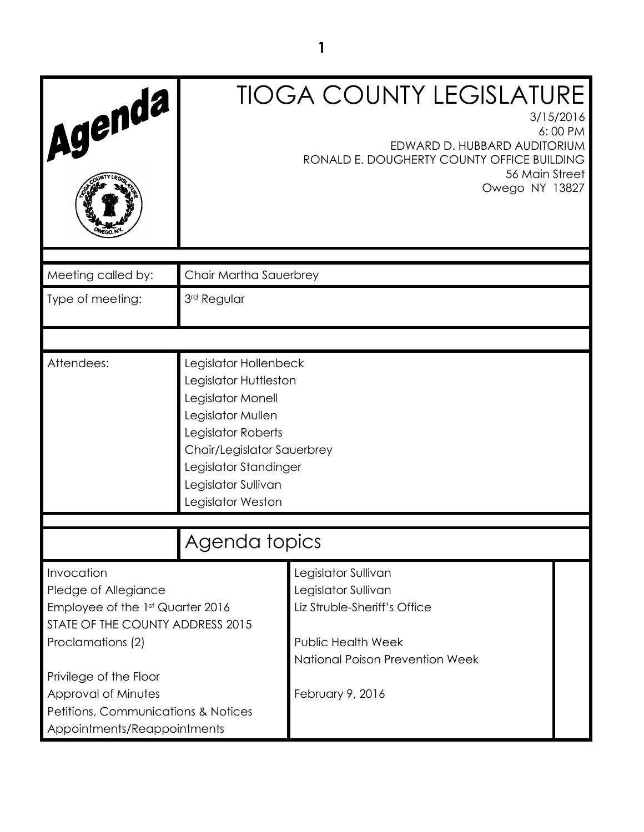| Agenda                                                                                                                          | <b>TIOGA COUNTY LEGISLATURE</b><br>3/15/2016<br>6:00 PM<br>EDWARD D. HUBBARD AUDITORIUM<br>RONALD E. DOUGHERTY COUNTY OFFICE BUILDING<br>56 Main Street<br>Owego NY 13827                                         |                                                                                                                                            |  |
|---------------------------------------------------------------------------------------------------------------------------------|-------------------------------------------------------------------------------------------------------------------------------------------------------------------------------------------------------------------|--------------------------------------------------------------------------------------------------------------------------------------------|--|
|                                                                                                                                 |                                                                                                                                                                                                                   |                                                                                                                                            |  |
| Meeting called by:                                                                                                              | Chair Martha Sauerbrey                                                                                                                                                                                            |                                                                                                                                            |  |
| Type of meeting:                                                                                                                | 3rd Regular                                                                                                                                                                                                       |                                                                                                                                            |  |
|                                                                                                                                 |                                                                                                                                                                                                                   |                                                                                                                                            |  |
| Attendees:                                                                                                                      | Legislator Hollenbeck<br>Legislator Huttleston<br>Legislator Monell<br>Legislator Mullen<br>Legislator Roberts<br>Chair/Legislator Sauerbrey<br>Legislator Standinger<br>Legislator Sullivan<br>Legislator Weston |                                                                                                                                            |  |
| Agenda topics                                                                                                                   |                                                                                                                                                                                                                   |                                                                                                                                            |  |
| Invocation<br>Pledge of Allegiance<br>Employee of the 1st Quarter 2016<br>STATE OF THE COUNTY ADDRESS 2015<br>Proclamations (2) |                                                                                                                                                                                                                   | Legislator Sullivan<br>Legislator Sullivan<br>Liz Struble-Sheriff's Office<br><b>Public Health Week</b><br>National Poison Prevention Week |  |
| Privilege of the Floor<br>Approval of Minutes<br>Petitions, Communications & Notices<br>Appointments/Reappointments             |                                                                                                                                                                                                                   | February 9, 2016                                                                                                                           |  |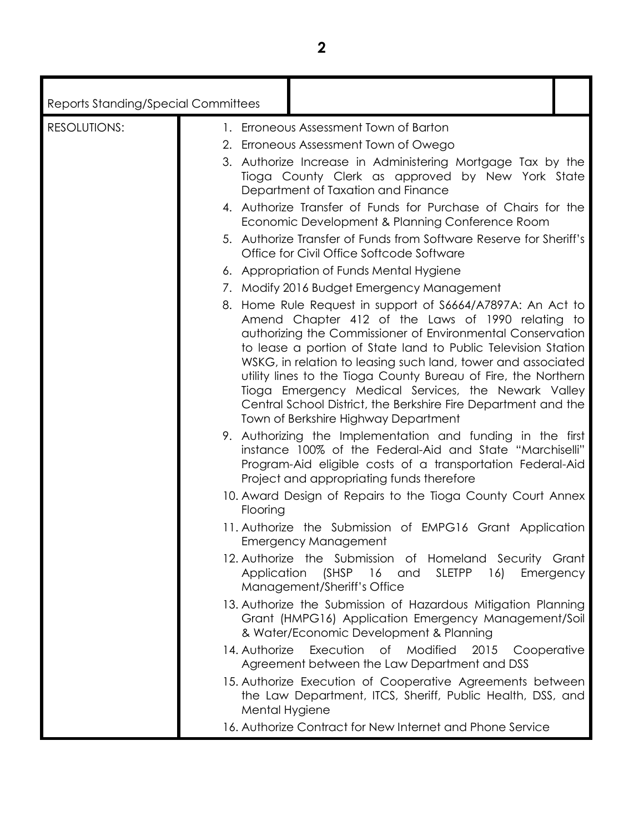| ۰. |  |
|----|--|
|    |  |
|    |  |
|    |  |

| Reports Standing/Special Committees |                                                                                                                                                                                                                                                                                                                                                                                                                                                                                                                                                   |             |
|-------------------------------------|---------------------------------------------------------------------------------------------------------------------------------------------------------------------------------------------------------------------------------------------------------------------------------------------------------------------------------------------------------------------------------------------------------------------------------------------------------------------------------------------------------------------------------------------------|-------------|
| <b>RESOLUTIONS:</b>                 | 1. Erroneous Assessment Town of Barton                                                                                                                                                                                                                                                                                                                                                                                                                                                                                                            |             |
|                                     | 2. Erroneous Assessment Town of Owego                                                                                                                                                                                                                                                                                                                                                                                                                                                                                                             |             |
|                                     | 3. Authorize Increase in Administering Mortgage Tax by the<br>Tioga County Clerk as approved by New York State<br>Department of Taxation and Finance                                                                                                                                                                                                                                                                                                                                                                                              |             |
|                                     | 4. Authorize Transfer of Funds for Purchase of Chairs for the<br>Economic Development & Planning Conference Room                                                                                                                                                                                                                                                                                                                                                                                                                                  |             |
|                                     | 5. Authorize Transfer of Funds from Software Reserve for Sheriff's<br>Office for Civil Office Softcode Software                                                                                                                                                                                                                                                                                                                                                                                                                                   |             |
|                                     | 6. Appropriation of Funds Mental Hygiene                                                                                                                                                                                                                                                                                                                                                                                                                                                                                                          |             |
|                                     | 7. Modify 2016 Budget Emergency Management                                                                                                                                                                                                                                                                                                                                                                                                                                                                                                        |             |
|                                     | 8. Home Rule Request in support of S6664/A7897A: An Act to<br>Amend Chapter 412 of the Laws of 1990 relating to<br>authorizing the Commissioner of Environmental Conservation<br>to lease a portion of State land to Public Television Station<br>WSKG, in relation to leasing such land, tower and associated<br>utility lines to the Tioga County Bureau of Fire, the Northern<br>Tioga Emergency Medical Services, the Newark Valley<br>Central School District, the Berkshire Fire Department and the<br>Town of Berkshire Highway Department |             |
|                                     | 9. Authorizing the Implementation and funding in the first<br>instance 100% of the Federal-Aid and State "Marchiselli"<br>Program-Aid eligible costs of a transportation Federal-Aid<br>Project and appropriating funds therefore                                                                                                                                                                                                                                                                                                                 |             |
|                                     | 10. Award Design of Repairs to the Tioga County Court Annex<br>Flooring                                                                                                                                                                                                                                                                                                                                                                                                                                                                           |             |
|                                     | 11. Authorize the Submission of EMPG16 Grant Application<br><b>Emergency Management</b>                                                                                                                                                                                                                                                                                                                                                                                                                                                           |             |
|                                     | 12. Authorize the Submission of Homeland Security Grant<br>(SHSP 16<br><b>SLETPP</b><br>Application<br>16)<br>and<br>Management/Sheriff's Office                                                                                                                                                                                                                                                                                                                                                                                                  | Emergency   |
|                                     | 13. Authorize the Submission of Hazardous Mitigation Planning<br>Grant (HMPG16) Application Emergency Management/Soil<br>& Water/Economic Development & Planning                                                                                                                                                                                                                                                                                                                                                                                  |             |
|                                     | Execution<br>14. Authorize<br>of Modified<br>2015<br>Agreement between the Law Department and DSS                                                                                                                                                                                                                                                                                                                                                                                                                                                 | Cooperative |
|                                     | 15. Authorize Execution of Cooperative Agreements between<br>the Law Department, ITCS, Sheriff, Public Health, DSS, and<br>Mental Hygiene                                                                                                                                                                                                                                                                                                                                                                                                         |             |
|                                     | 16. Authorize Contract for New Internet and Phone Service                                                                                                                                                                                                                                                                                                                                                                                                                                                                                         |             |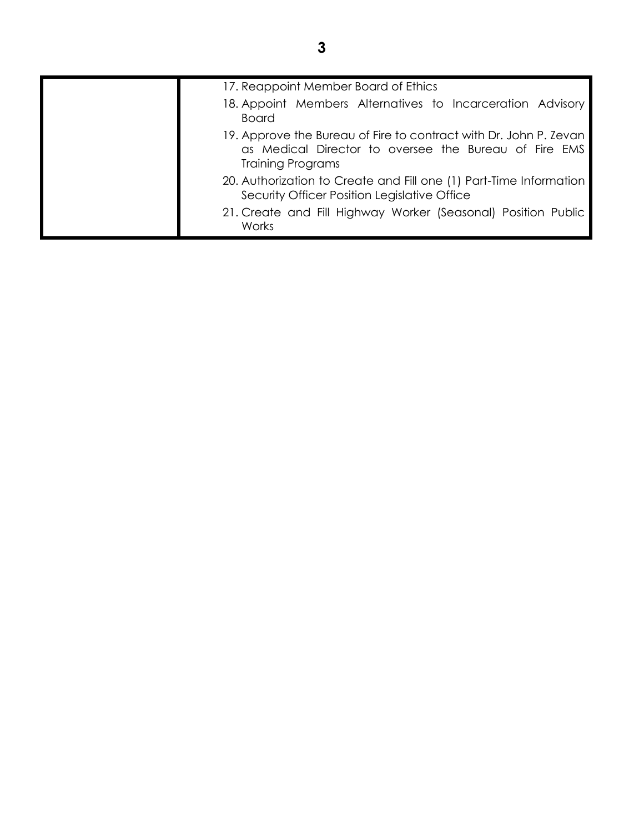| 17. Reappoint Member Board of Ethics                                                                                                            |
|-------------------------------------------------------------------------------------------------------------------------------------------------|
| 18. Appoint Members Alternatives to Incarceration Advisory<br><b>Board</b>                                                                      |
| 19. Approve the Bureau of Fire to contract with Dr. John P. Zevan<br>as Medical Director to oversee the Bureau of Fire EMS<br>Training Programs |
| 20. Authorization to Create and Fill one (1) Part-Time Information<br>Security Officer Position Legislative Office                              |
| 21. Create and Fill Highway Worker (Seasonal) Position Public<br>Works                                                                          |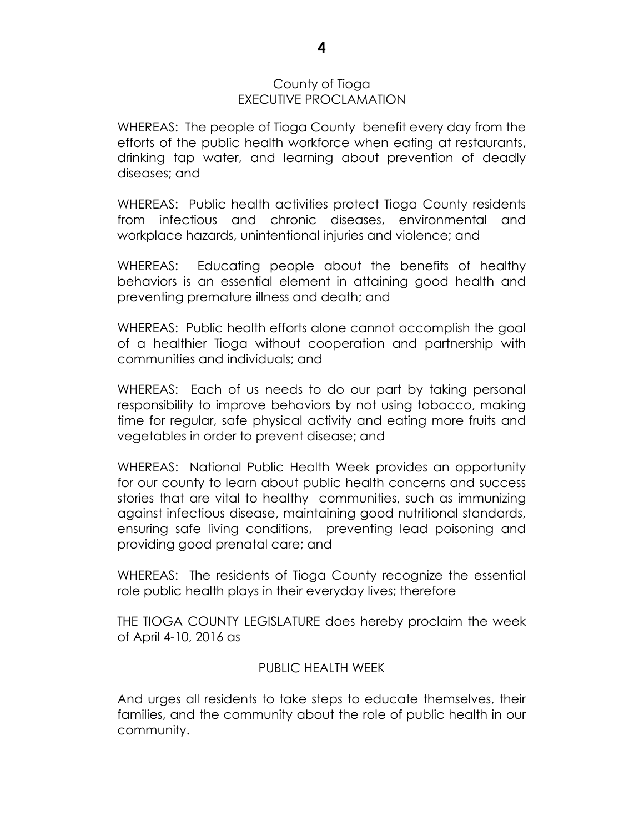#### County of Tioga EXECUTIVE PROCLAMATION

WHEREAS: The people of Tioga County benefit every day from the efforts of the public health workforce when eating at restaurants, drinking tap water, and learning about prevention of deadly diseases; and

WHEREAS: Public health activities protect Tioga County residents from infectious and chronic diseases, environmental and workplace hazards, unintentional injuries and violence; and

WHEREAS: Educating people about the benefits of healthy behaviors is an essential element in attaining good health and preventing premature illness and death; and

WHEREAS: Public health efforts alone cannot accomplish the goal of a healthier Tioga without cooperation and partnership with communities and individuals; and

WHEREAS: Each of us needs to do our part by taking personal responsibility to improve behaviors by not using tobacco, making time for regular, safe physical activity and eating more fruits and vegetables in order to prevent disease; and

WHEREAS: National Public Health Week provides an opportunity for our county to learn about public health concerns and success stories that are vital to healthy communities, such as immunizing against infectious disease, maintaining good nutritional standards, ensuring safe living conditions, preventing lead poisoning and providing good prenatal care; and

WHEREAS: The residents of Tioga County recognize the essential role public health plays in their everyday lives; therefore

THE TIOGA COUNTY LEGISLATURE does hereby proclaim the week of April 4-10, 2016 as

#### PUBLIC HEALTH WEEK

And urges all residents to take steps to educate themselves, their families, and the community about the role of public health in our community.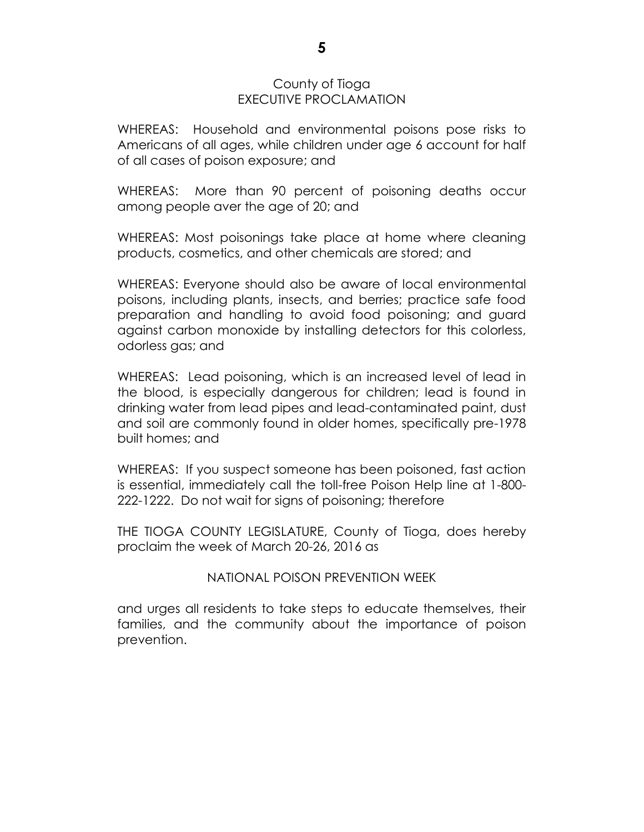#### County of Tioga EXECUTIVE PROCLAMATION

WHEREAS: Household and environmental poisons pose risks to Americans of all ages, while children under age 6 account for half of all cases of poison exposure; and

WHEREAS: More than 90 percent of poisoning deaths occur among people aver the age of 20; and

WHEREAS: Most poisonings take place at home where cleaning products, cosmetics, and other chemicals are stored; and

WHEREAS: Everyone should also be aware of local environmental poisons, including plants, insects, and berries; practice safe food preparation and handling to avoid food poisoning; and guard against carbon monoxide by installing detectors for this colorless, odorless gas; and

WHEREAS: Lead poisoning, which is an increased level of lead in the blood, is especially dangerous for children; lead is found in drinking water from lead pipes and lead-contaminated paint, dust and soil are commonly found in older homes, specifically pre-1978 built homes; and

WHEREAS: If you suspect someone has been poisoned, fast action is essential, immediately call the toll-free Poison Help line at 1-800- 222-1222. Do not wait for signs of poisoning; therefore

THE TIOGA COUNTY LEGISLATURE, County of Tioga, does hereby proclaim the week of March 20-26, 2016 as

#### NATIONAL POISON PREVENTION WEEK

and urges all residents to take steps to educate themselves, their families, and the community about the importance of poison prevention.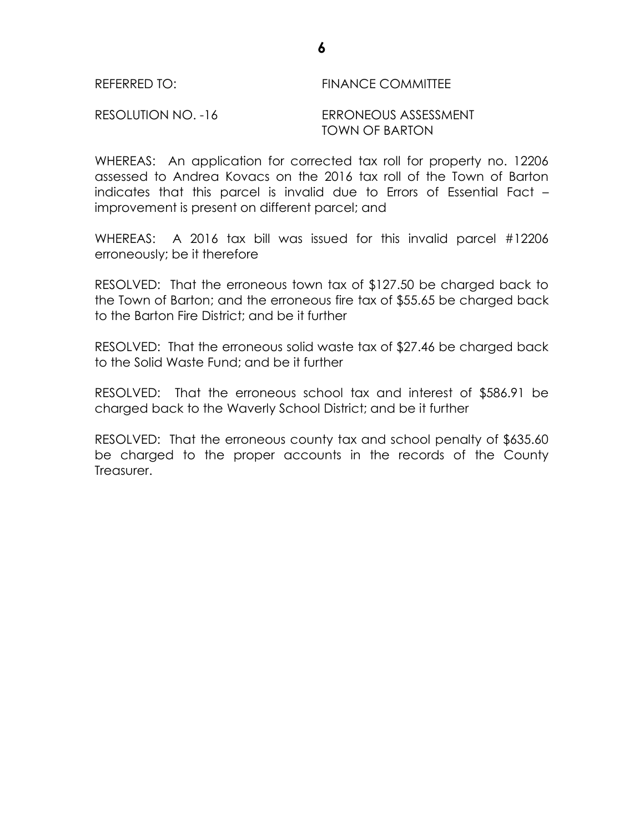### REFERRED TO: FINANCE COMMITTEE

RESOLUTION NO. -16 ERRONEOUS ASSESSMENT TOWN OF BARTON

WHEREAS: An application for corrected tax roll for property no. 12206 assessed to Andrea Kovacs on the 2016 tax roll of the Town of Barton indicates that this parcel is invalid due to Errors of Essential Fact – improvement is present on different parcel; and

WHEREAS: A 2016 tax bill was issued for this invalid parcel #12206 erroneously; be it therefore

RESOLVED: That the erroneous town tax of \$127.50 be charged back to the Town of Barton; and the erroneous fire tax of \$55.65 be charged back to the Barton Fire District; and be it further

RESOLVED: That the erroneous solid waste tax of \$27.46 be charged back to the Solid Waste Fund; and be it further

RESOLVED: That the erroneous school tax and interest of \$586.91 be charged back to the Waverly School District; and be it further

RESOLVED: That the erroneous county tax and school penalty of \$635.60 be charged to the proper accounts in the records of the County Treasurer.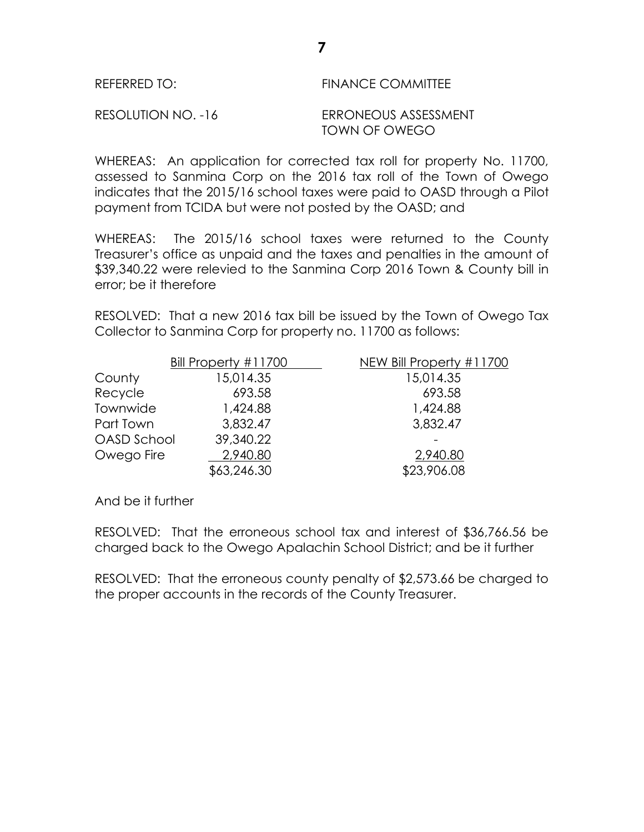| REFERRED TO: | <b>FINANCE COMMITTEE</b> |
|--------------|--------------------------|
|              |                          |

RESOLUTION NO. -16 ERRONEOUS ASSESSMENT

TOWN OF OWEGO

WHEREAS: An application for corrected tax roll for property No. 11700, assessed to Sanmina Corp on the 2016 tax roll of the Town of Owego indicates that the 2015/16 school taxes were paid to OASD through a Pilot payment from TCIDA but were not posted by the OASD; and

WHEREAS: The 2015/16 school taxes were returned to the County Treasurer's office as unpaid and the taxes and penalties in the amount of \$39,340.22 were relevied to the Sanmina Corp 2016 Town & County bill in error; be it therefore

RESOLVED: That a new 2016 tax bill be issued by the Town of Owego Tax Collector to Sanmina Corp for property no. 11700 as follows:

|             | Bill Property #11700 | NEW Bill Property #11700 |
|-------------|----------------------|--------------------------|
| County      | 15,014.35            | 15,014.35                |
| Recycle     | 693.58               | 693.58                   |
| Townwide    | 1,424.88             | 1,424.88                 |
| Part Town   | 3,832.47             | 3,832.47                 |
| OASD School | 39,340.22            |                          |
| Owego Fire  | 2,940.80             | 2,940.80                 |
|             | \$63,246.30          | \$23,906.08              |

And be it further

RESOLVED: That the erroneous school tax and interest of \$36,766.56 be charged back to the Owego Apalachin School District; and be it further

RESOLVED: That the erroneous county penalty of \$2,573.66 be charged to the proper accounts in the records of the County Treasurer.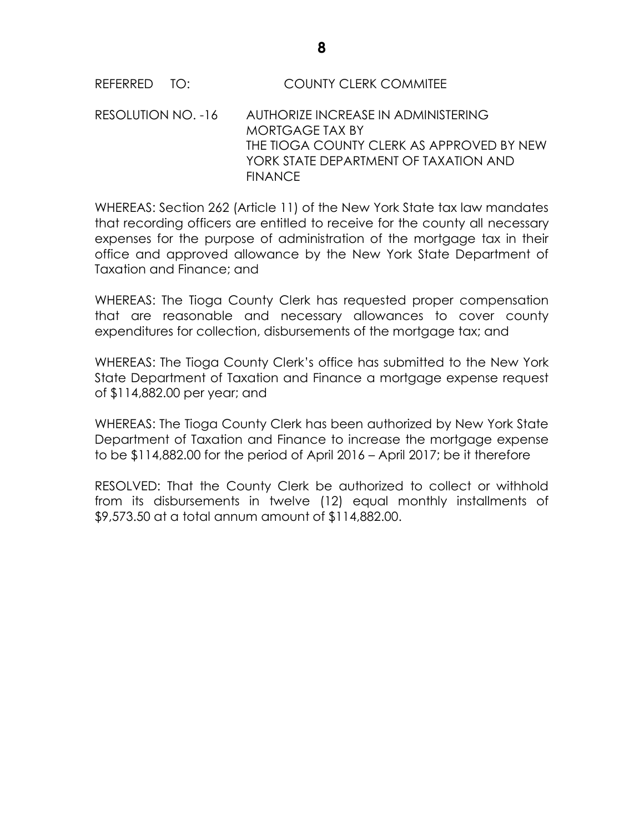#### REFERRED TO: COUNTY CLERK COMMITEE

#### RESOLUTION NO. -16 AUTHORIZE INCREASE IN ADMINISTERING MORTGAGE TAX BY THE TIOGA COUNTY CLERK AS APPROVED BY NEW YORK STATE DEPARTMENT OF TAXATION AND **FINANCE**

WHEREAS: Section 262 (Article 11) of the New York State tax law mandates that recording officers are entitled to receive for the county all necessary expenses for the purpose of administration of the mortgage tax in their office and approved allowance by the New York State Department of Taxation and Finance; and

WHEREAS: The Tioga County Clerk has requested proper compensation that are reasonable and necessary allowances to cover county expenditures for collection, disbursements of the mortgage tax; and

WHEREAS: The Tioga County Clerk's office has submitted to the New York State Department of Taxation and Finance a mortgage expense request of \$114,882.00 per year; and

WHEREAS: The Tioga County Clerk has been authorized by New York State Department of Taxation and Finance to increase the mortgage expense to be \$114,882.00 for the period of April 2016 – April 2017; be it therefore

RESOLVED: That the County Clerk be authorized to collect or withhold from its disbursements in twelve (12) equal monthly installments of \$9,573.50 at a total annum amount of \$114,882.00.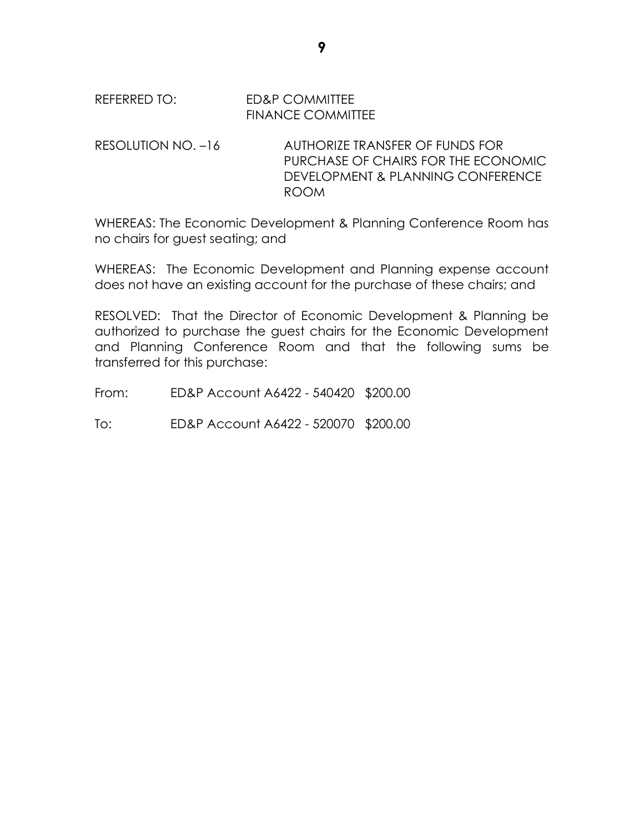#### REFERRED TO: ED&P COMMITTEE FINANCE COMMITTEE

RESOLUTION NO. –16 AUTHORIZE TRANSFER OF FUNDS FOR PURCHASE OF CHAIRS FOR THE ECONOMIC DEVELOPMENT & PLANNING CONFERENCE ROOM

WHEREAS: The Economic Development & Planning Conference Room has no chairs for guest seating; and

WHEREAS: The Economic Development and Planning expense account does not have an existing account for the purchase of these chairs; and

RESOLVED: That the Director of Economic Development & Planning be authorized to purchase the guest chairs for the Economic Development and Planning Conference Room and that the following sums be transferred for this purchase:

From: ED&P Account A6422 - 540420 \$200.00

To: ED&P Account A6422 - 520070 \$200.00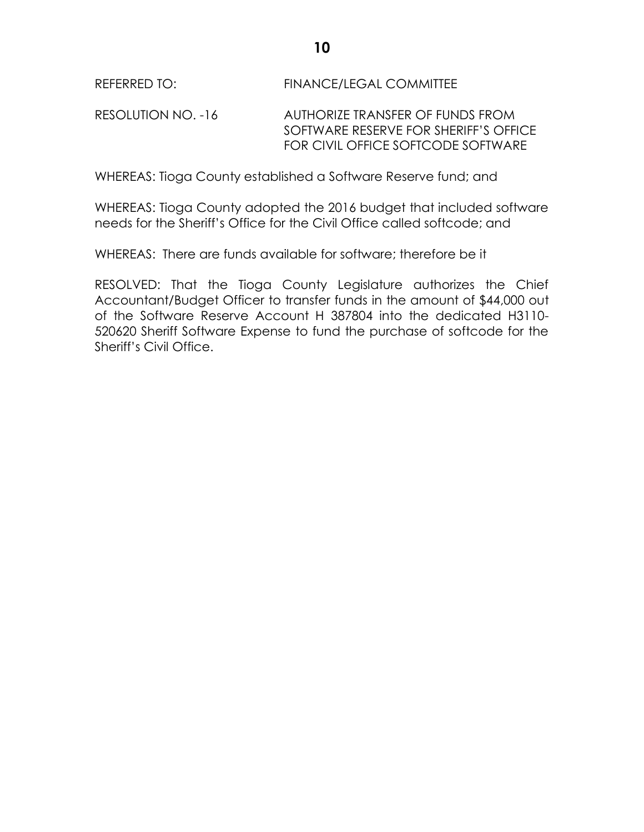REFERRED TO: FINANCE/LEGAL COMMITTEE

RESOLUTION NO. -16 AUTHORIZE TRANSFER OF FUNDS FROM SOFTWARE RESERVE FOR SHERIFF'S OFFICE FOR CIVIL OFFICE SOFTCODE SOFTWARE

WHEREAS: Tioga County established a Software Reserve fund; and

WHEREAS: Tioga County adopted the 2016 budget that included software needs for the Sheriff's Office for the Civil Office called softcode; and

WHEREAS: There are funds available for software; therefore be it

RESOLVED: That the Tioga County Legislature authorizes the Chief Accountant/Budget Officer to transfer funds in the amount of \$44,000 out of the Software Reserve Account H 387804 into the dedicated H3110- 520620 Sheriff Software Expense to fund the purchase of softcode for the Sheriff's Civil Office.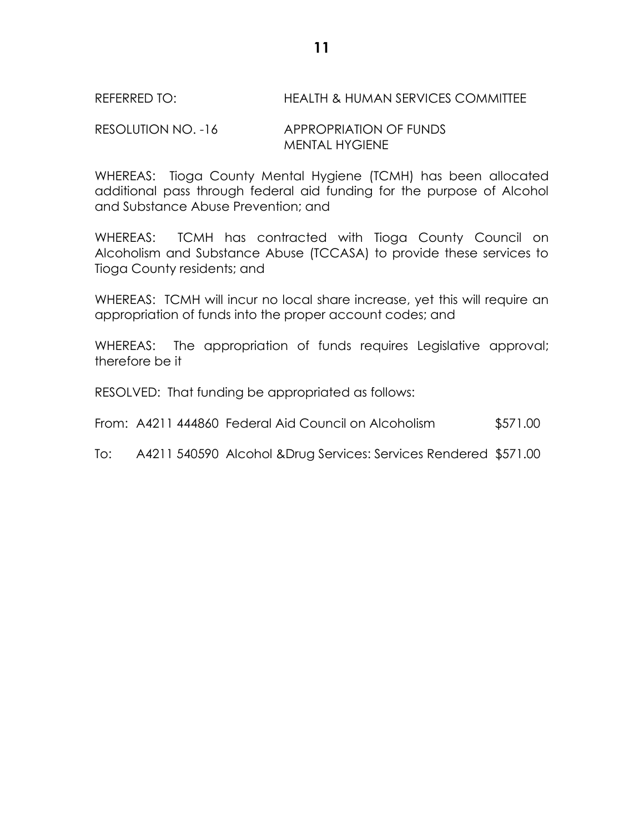#### REFERRED TO: HEALTH & HUMAN SERVICES COMMITTEE

#### RESOLUTION NO. -16 APPROPRIATION OF FUNDS MENTAL HYGIENE

WHEREAS: Tioga County Mental Hygiene (TCMH) has been allocated additional pass through federal aid funding for the purpose of Alcohol and Substance Abuse Prevention; and

WHEREAS: TCMH has contracted with Tioga County Council on Alcoholism and Substance Abuse (TCCASA) to provide these services to Tioga County residents; and

WHEREAS: TCMH will incur no local share increase, yet this will require an appropriation of funds into the proper account codes; and

WHEREAS: The appropriation of funds requires Legislative approval; therefore be it

RESOLVED: That funding be appropriated as follows:

From: A4211 444860 Federal Aid Council on Alcoholism \$571.00

To: A4211 540590 Alcohol &Drug Services: Services Rendered \$571.00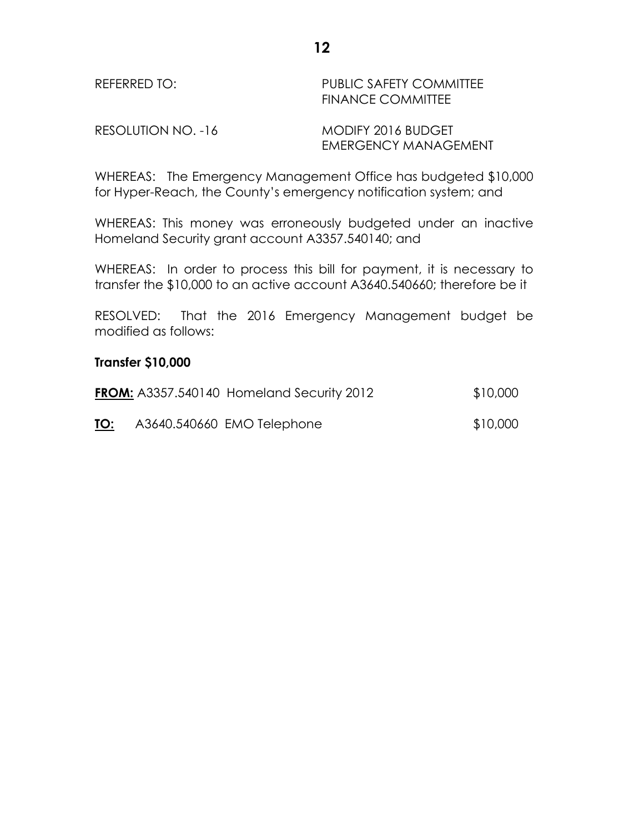#### REFERRED TO: PUBLIC SAFETY COMMITTEE FINANCE COMMITTEE

RESOLUTION NO. -16 MODIFY 2016 BUDGET

EMERGENCY MANAGEMENT

WHEREAS: The Emergency Management Office has budgeted \$10,000 for Hyper-Reach, the County's emergency notification system; and

WHEREAS: This money was erroneously budgeted under an inactive Homeland Security grant account A3357.540140; and

WHEREAS: In order to process this bill for payment, it is necessary to transfer the \$10,000 to an active account A3640.540660; therefore be it

RESOLVED: That the 2016 Emergency Management budget be modified as follows:

#### **Transfer \$10,000**

|     | <b>FROM:</b> A3357.540140 Homeland Security 2012 | \$10,000 |
|-----|--------------------------------------------------|----------|
| TO: | A3640.540660 EMO Telephone                       | \$10,000 |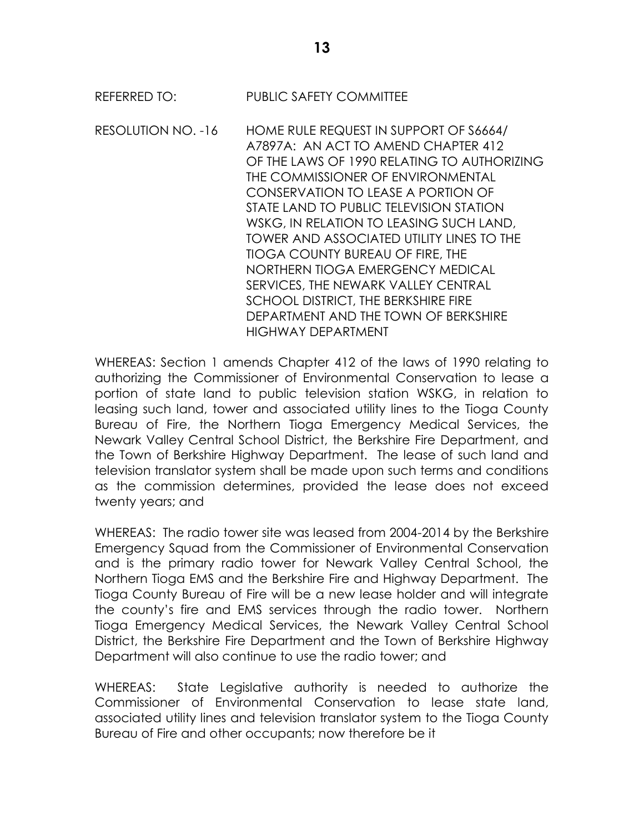RESOLUTION NO. -16 HOME RULE REQUEST IN SUPPORT OF S6664/ A7897A: AN ACT TO AMEND CHAPTER 412 OF THE LAWS OF 1990 RELATING TO AUTHORIZING THE COMMISSIONER OF ENVIRONMENTAL CONSERVATION TO LEASE A PORTION OF STATE LAND TO PUBLIC TELEVISION STATION WSKG, IN RELATION TO LEASING SUCH LAND, TOWER AND ASSOCIATED UTILITY LINES TO THE TIOGA COUNTY BUREAU OF FIRE, THE NORTHERN TIOGA EMERGENCY MEDICAL SERVICES, THE NEWARK VALLEY CENTRAL SCHOOL DISTRICT, THE BERKSHIRE FIRE DEPARTMENT AND THE TOWN OF BERKSHIRE HIGHWAY DEPARTMENT

WHEREAS: Section 1 amends Chapter 412 of the laws of 1990 relating to authorizing the Commissioner of Environmental Conservation to lease a portion of state land to public television station WSKG, in relation to leasing such land, tower and associated utility lines to the Tioga County Bureau of Fire, the Northern Tioga Emergency Medical Services, the Newark Valley Central School District, the Berkshire Fire Department, and the Town of Berkshire Highway Department. The lease of such land and television translator system shall be made upon such terms and conditions as the commission determines, provided the lease does not exceed twenty years; and

WHEREAS: The radio tower site was leased from 2004-2014 by the Berkshire Emergency Squad from the Commissioner of Environmental Conservation and is the primary radio tower for Newark Valley Central School, the Northern Tioga EMS and the Berkshire Fire and Highway Department. The Tioga County Bureau of Fire will be a new lease holder and will integrate the county's fire and EMS services through the radio tower. Northern Tioga Emergency Medical Services, the Newark Valley Central School District, the Berkshire Fire Department and the Town of Berkshire Highway Department will also continue to use the radio tower; and

WHEREAS: State Legislative authority is needed to authorize the Commissioner of Environmental Conservation to lease state land, associated utility lines and television translator system to the Tioga County Bureau of Fire and other occupants; now therefore be it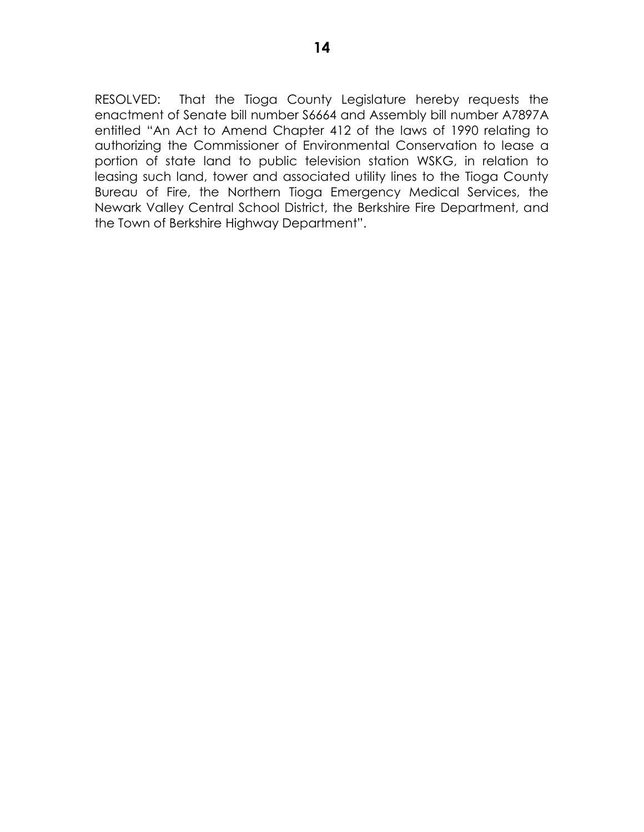RESOLVED: That the Tioga County Legislature hereby requests the enactment of Senate bill number S6664 and Assembly bill number A7897A entitled "An Act to Amend Chapter 412 of the laws of 1990 relating to authorizing the Commissioner of Environmental Conservation to lease a portion of state land to public television station WSKG, in relation to leasing such land, tower and associated utility lines to the Tioga County Bureau of Fire, the Northern Tioga Emergency Medical Services, the Newark Valley Central School District, the Berkshire Fire Department, and the Town of Berkshire Highway Department".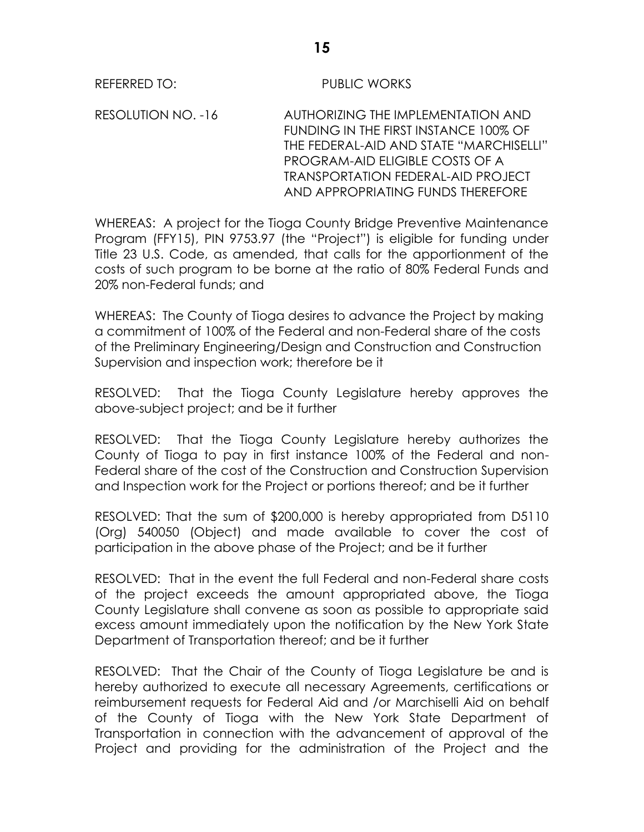#### REFERRED TO: PUBLIC WORKS

RESOLUTION NO. -16 AUTHORIZING THE IMPLEMENTATION AND FUNDING IN THE FIRST INSTANCE 100% OF THE FEDERAL-AID AND STATE "MARCHISELLI" PROGRAM-AID ELIGIBLE COSTS OF A TRANSPORTATION FEDERAL-AID PROJECT AND APPROPRIATING FUNDS THEREFORE

WHEREAS: A project for the Tioga County Bridge Preventive Maintenance Program (FFY15), PIN 9753.97 (the "Project") is eligible for funding under Title 23 U.S. Code, as amended, that calls for the apportionment of the costs of such program to be borne at the ratio of 80% Federal Funds and 20% non-Federal funds; and

WHEREAS: The County of Tioga desires to advance the Project by making a commitment of 100% of the Federal and non-Federal share of the costs of the Preliminary Engineering/Design and Construction and Construction Supervision and inspection work; therefore be it

RESOLVED: That the Tioga County Legislature hereby approves the above-subject project; and be it further

RESOLVED: That the Tioga County Legislature hereby authorizes the County of Tioga to pay in first instance 100% of the Federal and non-Federal share of the cost of the Construction and Construction Supervision and Inspection work for the Project or portions thereof; and be it further

RESOLVED: That the sum of \$200,000 is hereby appropriated from D5110 (Org) 540050 (Object) and made available to cover the cost of participation in the above phase of the Project; and be it further

RESOLVED: That in the event the full Federal and non-Federal share costs of the project exceeds the amount appropriated above, the Tioga County Legislature shall convene as soon as possible to appropriate said excess amount immediately upon the notification by the New York State Department of Transportation thereof; and be it further

RESOLVED: That the Chair of the County of Tioga Legislature be and is hereby authorized to execute all necessary Agreements, certifications or reimbursement requests for Federal Aid and /or Marchiselli Aid on behalf of the County of Tioga with the New York State Department of Transportation in connection with the advancement of approval of the Project and providing for the administration of the Project and the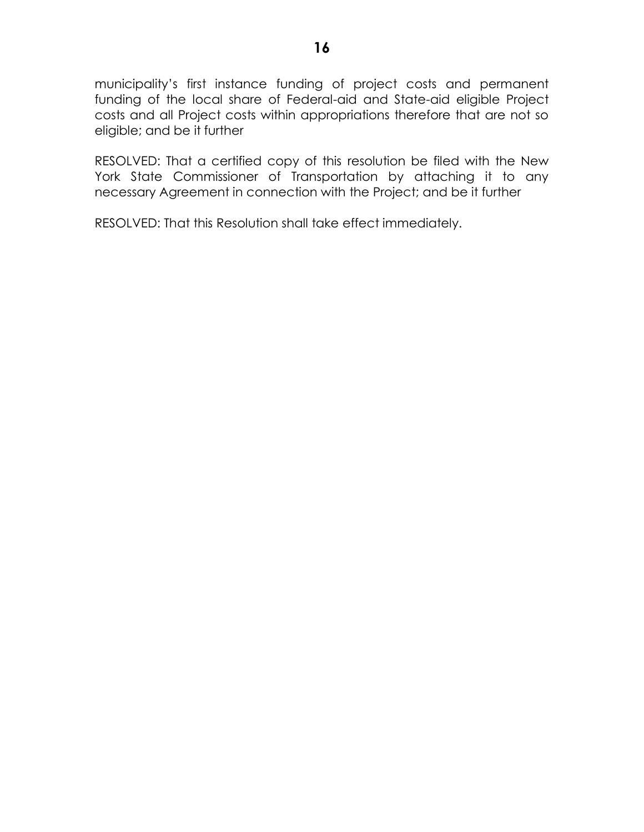municipality's first instance funding of project costs and permanent funding of the local share of Federal-aid and State-aid eligible Project costs and all Project costs within appropriations therefore that are not so eligible; and be it further

RESOLVED: That a certified copy of this resolution be filed with the New York State Commissioner of Transportation by attaching it to any necessary Agreement in connection with the Project; and be it further

RESOLVED: That this Resolution shall take effect immediately.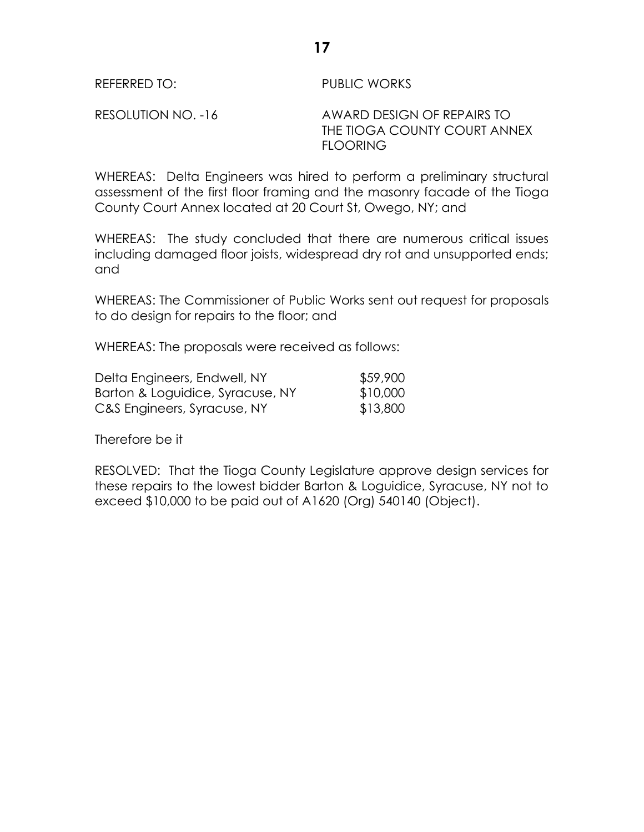REFERRED TO: PUBLIC WORKS

RESOLUTION NO. -16 AWARD DESIGN OF REPAIRS TO THE TIOGA COUNTY COURT ANNEX FLOORING

WHEREAS: Delta Engineers was hired to perform a preliminary structural assessment of the first floor framing and the masonry facade of the Tioga County Court Annex located at 20 Court St, Owego, NY; and

WHEREAS: The study concluded that there are numerous critical issues including damaged floor joists, widespread dry rot and unsupported ends; and

WHEREAS: The Commissioner of Public Works sent out request for proposals to do design for repairs to the floor; and

WHEREAS: The proposals were received as follows:

| Delta Engineers, Endwell, NY     | \$59,900 |
|----------------------------------|----------|
| Barton & Loguidice, Syracuse, NY | \$10,000 |
| C&S Engineers, Syracuse, NY      | \$13,800 |

Therefore be it

RESOLVED: That the Tioga County Legislature approve design services for these repairs to the lowest bidder Barton & Loguidice, Syracuse, NY not to exceed \$10,000 to be paid out of A1620 (Org) 540140 (Object).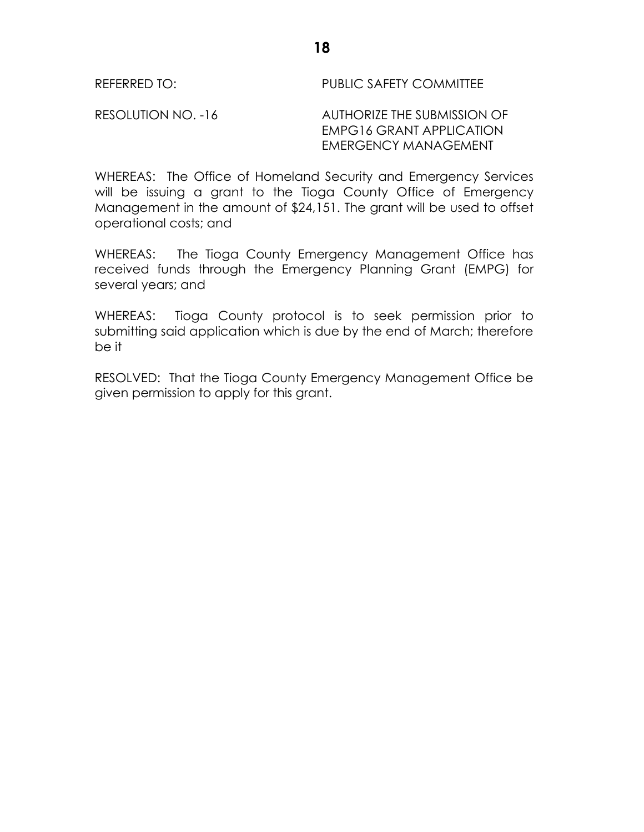RESOLUTION NO. -16 AUTHORIZE THE SUBMISSION OF EMPG16 GRANT APPLICATION EMERGENCY MANAGEMENT

WHEREAS: The Office of Homeland Security and Emergency Services will be issuing a grant to the Tioga County Office of Emergency Management in the amount of \$24,151. The grant will be used to offset operational costs; and

WHEREAS: The Tioga County Emergency Management Office has received funds through the Emergency Planning Grant (EMPG) for several years; and

WHEREAS: Tioga County protocol is to seek permission prior to submitting said application which is due by the end of March; therefore be it

RESOLVED: That the Tioga County Emergency Management Office be given permission to apply for this grant.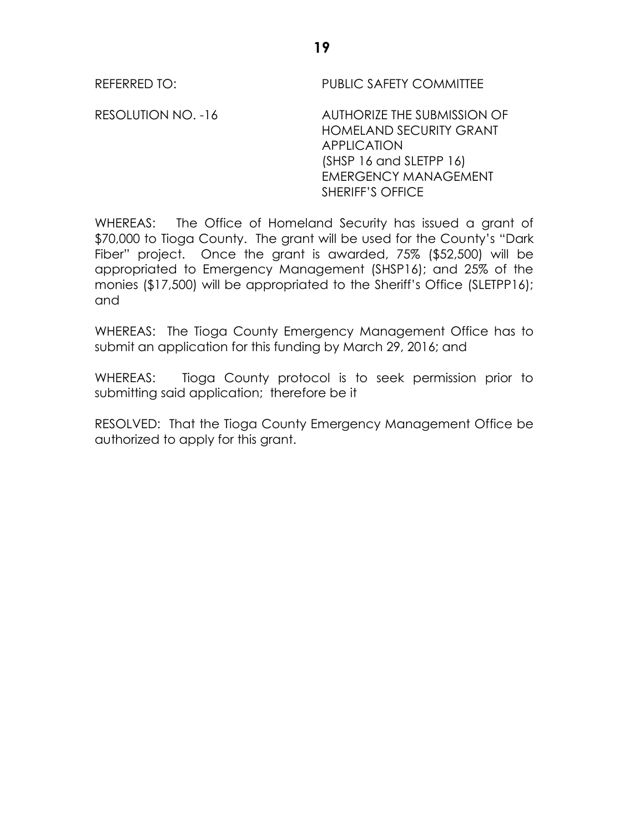RESOLUTION NO. -16 AUTHORIZE THE SUBMISSION OF HOMELAND SECURITY GRANT APPLICATION (SHSP 16 and SLETPP 16) EMERGENCY MANAGEMENT SHERIFF'S OFFICE

WHEREAS: The Office of Homeland Security has issued a grant of \$70,000 to Tioga County. The grant will be used for the County's "Dark Fiber" project. Once the grant is awarded, 75% (\$52,500) will be appropriated to Emergency Management (SHSP16); and 25% of the monies (\$17,500) will be appropriated to the Sheriff's Office (SLETPP16); and

WHEREAS: The Tioga County Emergency Management Office has to submit an application for this funding by March 29, 2016; and

WHEREAS: Tioga County protocol is to seek permission prior to submitting said application; therefore be it

RESOLVED: That the Tioga County Emergency Management Office be authorized to apply for this grant.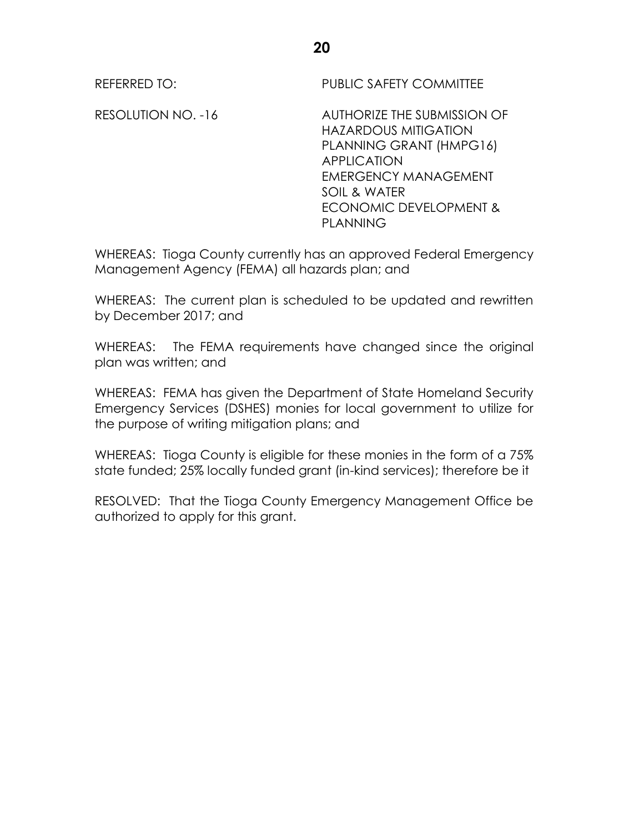RESOLUTION NO. -16 AUTHORIZE THE SUBMISSION OF HAZARDOUS MITIGATION PLANNING GRANT (HMPG16) APPLICATION EMERGENCY MANAGEMENT SOIL & WATER ECONOMIC DEVELOPMENT & PLANNING

WHEREAS: Tioga County currently has an approved Federal Emergency Management Agency (FEMA) all hazards plan; and

WHEREAS: The current plan is scheduled to be updated and rewritten by December 2017; and

WHEREAS: The FEMA requirements have changed since the original plan was written; and

WHEREAS: FEMA has given the Department of State Homeland Security Emergency Services (DSHES) monies for local government to utilize for the purpose of writing mitigation plans; and

WHEREAS: Tioga County is eligible for these monies in the form of a 75% state funded; 25% locally funded grant (in-kind services); therefore be it

RESOLVED: That the Tioga County Emergency Management Office be authorized to apply for this grant.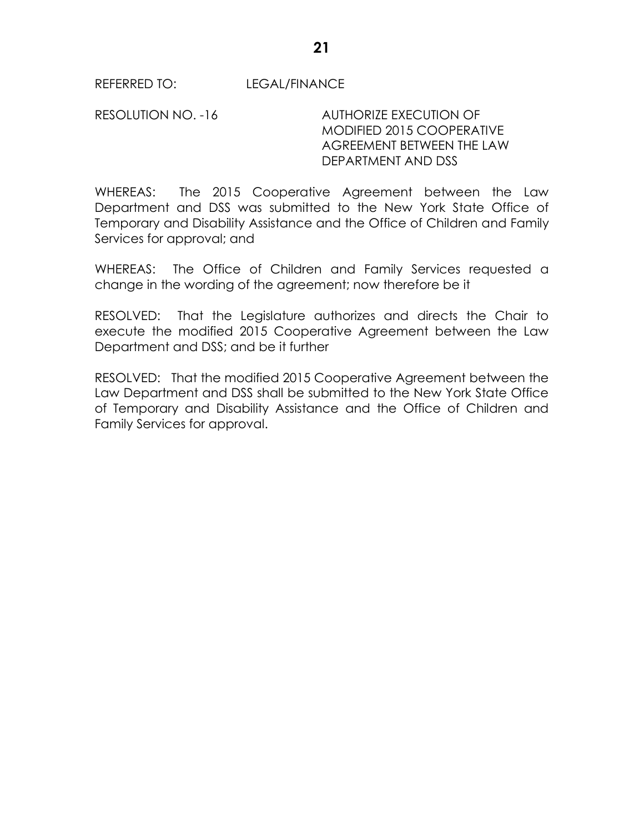REFERRED TO: LEGAL/FINANCE

RESOLUTION NO. -16 AUTHORIZE EXECUTION OF MODIFIED 2015 COOPERATIVE AGREEMENT BETWEEN THE LAW DEPARTMENT AND DSS

WHEREAS: The 2015 Cooperative Agreement between the Law Department and DSS was submitted to the New York State Office of Temporary and Disability Assistance and the Office of Children and Family Services for approval; and

WHEREAS: The Office of Children and Family Services requested a change in the wording of the agreement; now therefore be it

RESOLVED: That the Legislature authorizes and directs the Chair to execute the modified 2015 Cooperative Agreement between the Law Department and DSS; and be it further

RESOLVED: That the modified 2015 Cooperative Agreement between the Law Department and DSS shall be submitted to the New York State Office of Temporary and Disability Assistance and the Office of Children and Family Services for approval.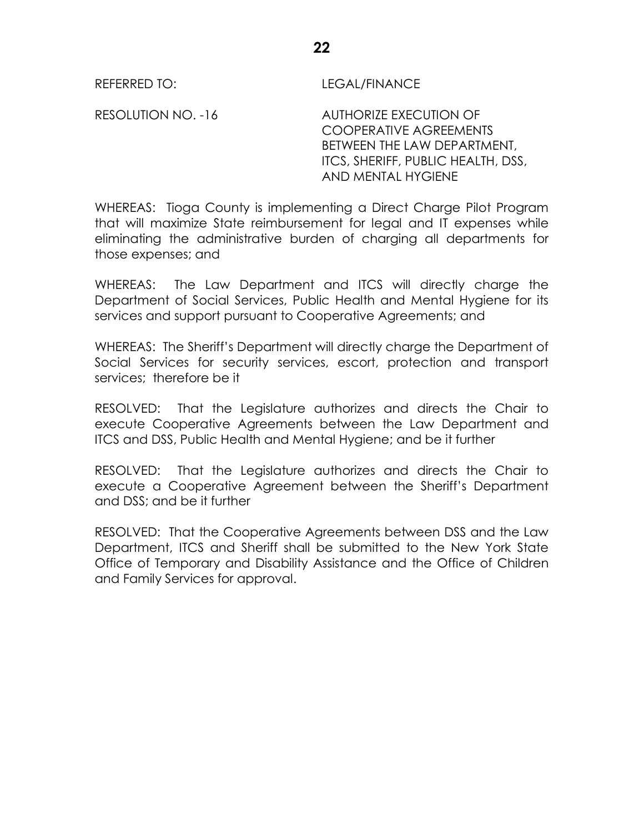REFERRED TO: LEGAL/FINANCE

RESOLUTION NO. -16 AUTHORIZE EXECUTION OF COOPERATIVE AGREEMENTS BETWEEN THE LAW DEPARTMENT, ITCS, SHERIFF, PUBLIC HEALTH, DSS, AND MENTAL HYGIENE

WHEREAS: Tioga County is implementing a Direct Charge Pilot Program that will maximize State reimbursement for legal and IT expenses while eliminating the administrative burden of charging all departments for those expenses; and

WHEREAS: The Law Department and ITCS will directly charge the Department of Social Services, Public Health and Mental Hygiene for its services and support pursuant to Cooperative Agreements; and

WHEREAS: The Sheriff's Department will directly charge the Department of Social Services for security services, escort, protection and transport services; therefore be it

RESOLVED: That the Legislature authorizes and directs the Chair to execute Cooperative Agreements between the Law Department and ITCS and DSS, Public Health and Mental Hygiene; and be it further

RESOLVED: That the Legislature authorizes and directs the Chair to execute a Cooperative Agreement between the Sheriff's Department and DSS; and be it further

RESOLVED: That the Cooperative Agreements between DSS and the Law Department, ITCS and Sheriff shall be submitted to the New York State Office of Temporary and Disability Assistance and the Office of Children and Family Services for approval.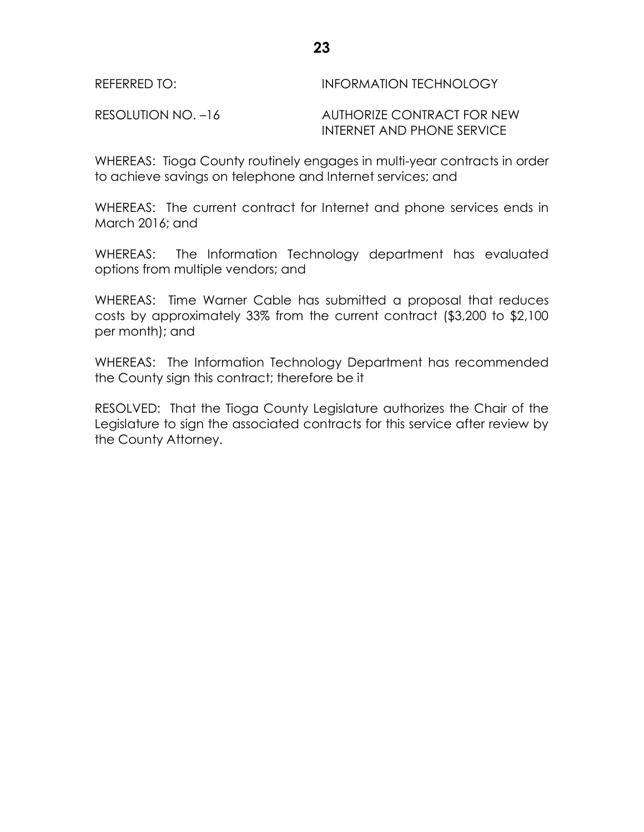| REFERRED TO:       | INFORMATION TECHNOLOGY                                   |
|--------------------|----------------------------------------------------------|
| RESOLUTION NO. -16 | AUTHORIZE CONTRACT FOR NEW<br>INTERNET AND PHONE SERVICE |

WHEREAS: Tioga County routinely engages in multi-year contracts in order to achieve savings on telephone and Internet services; and

WHEREAS: The current contract for Internet and phone services ends in March 2016; and

WHEREAS: The Information Technology department has evaluated options from multiple vendors; and

WHEREAS: Time Warner Cable has submitted a proposal that reduces costs by approximately 33% from the current contract (\$3,200 to \$2,100 per month); and

WHEREAS: The Information Technology Department has recommended the County sign this contract; therefore be it

RESOLVED: That the Tioga County Legislature authorizes the Chair of the Legislature to sign the associated contracts for this service after review by the County Attorney.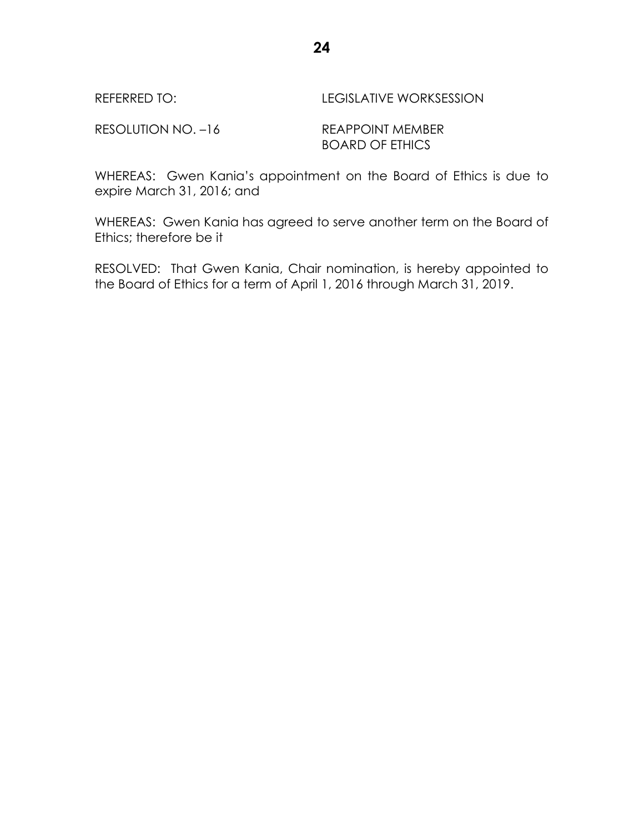| REFERRED TO: | <b>LEGISLATIVE WORKSESSION</b> |
|--------------|--------------------------------|
|              |                                |

RESOLUTION NO. -16 REAPPOINT MEMBER

# BOARD OF ETHICS

WHEREAS: Gwen Kania's appointment on the Board of Ethics is due to expire March 31, 2016; and

WHEREAS: Gwen Kania has agreed to serve another term on the Board of Ethics; therefore be it

RESOLVED: That Gwen Kania, Chair nomination, is hereby appointed to the Board of Ethics for a term of April 1, 2016 through March 31, 2019.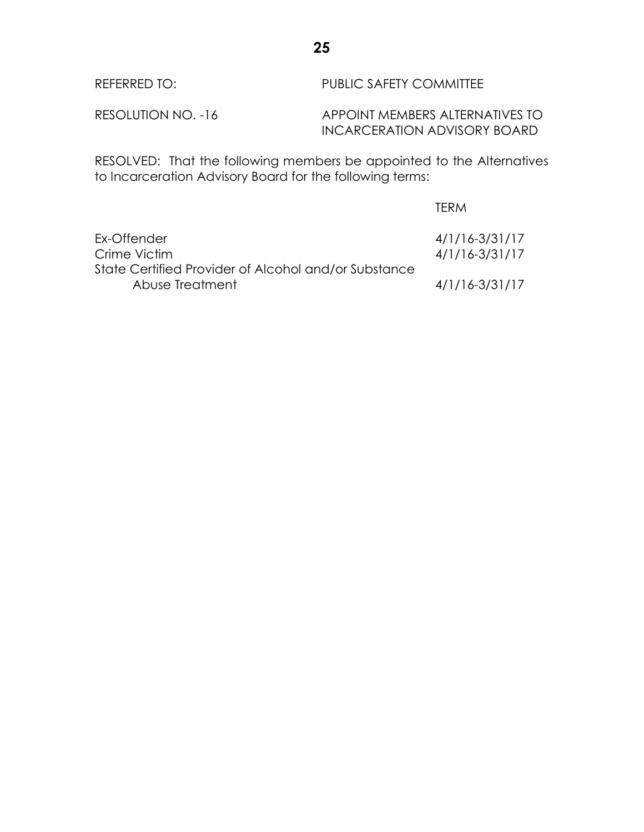| REFERRED TO:       | PUBLIC SAFETY COMMITTEE                                                                 |
|--------------------|-----------------------------------------------------------------------------------------|
| RESOLUTION NO. -16 | APPOINT MEMBERS ALTERNATIVES TO<br>INCARCERATION ADVISORY BOARD                         |
|                    | $DFCONUTD.$ That the fellowing measurement on quantity of the theory of the measurement |

RESOLVED: That the following members be appointed to the Alternatives to Incarceration Advisory Board for the following terms:

|                                                                         | <b>IFRM</b>                              |
|-------------------------------------------------------------------------|------------------------------------------|
| Ex-Offender<br>Crime Victim                                             | $4/1/16 - 3/31/17$<br>$4/1/16 - 3/31/17$ |
| State Certified Provider of Alcohol and/or Substance<br>Abuse Treatment | $4/1/16 - 3/31/17$                       |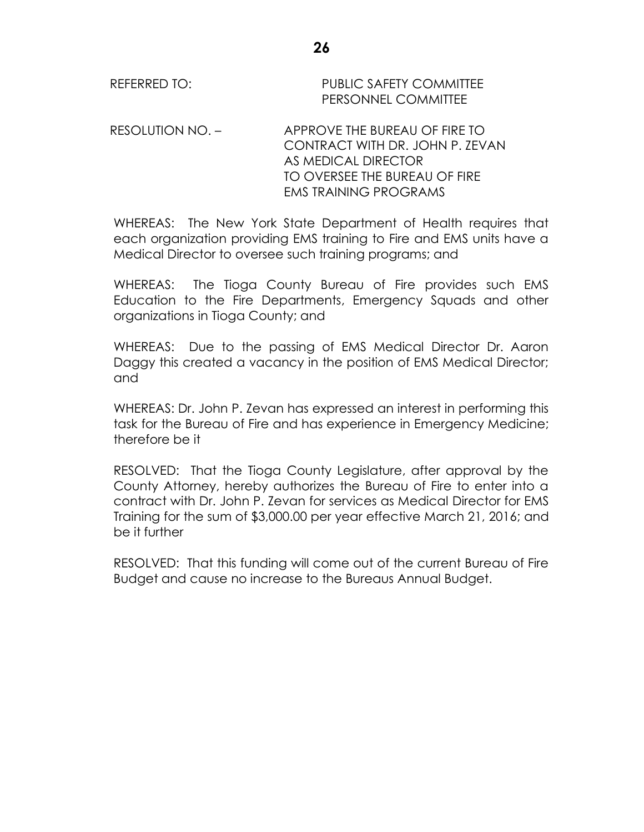REFERRED TO: PUBLIC SAFETY COMMITTEE PERSONNEL COMMITTEE

RESOLUTION NO. – APPROVE THE BUREAU OF FIRE TO CONTRACT WITH DR. JOHN P. ZEVAN AS MEDICAL DIRECTOR TO OVERSEE THE BUREAU OF FIRE EMS TRAINING PROGRAMS

WHEREAS: The New York State Department of Health requires that each organization providing EMS training to Fire and EMS units have a Medical Director to oversee such training programs; and

WHEREAS: The Tioga County Bureau of Fire provides such EMS Education to the Fire Departments, Emergency Squads and other organizations in Tioga County; and

WHEREAS: Due to the passing of EMS Medical Director Dr. Aaron Daggy this created a vacancy in the position of EMS Medical Director; and

WHEREAS: Dr. John P. Zevan has expressed an interest in performing this task for the Bureau of Fire and has experience in Emergency Medicine; therefore be it

RESOLVED: That the Tioga County Legislature, after approval by the County Attorney, hereby authorizes the Bureau of Fire to enter into a contract with Dr. John P. Zevan for services as Medical Director for EMS Training for the sum of \$3,000.00 per year effective March 21, 2016; and be it further

RESOLVED: That this funding will come out of the current Bureau of Fire Budget and cause no increase to the Bureaus Annual Budget.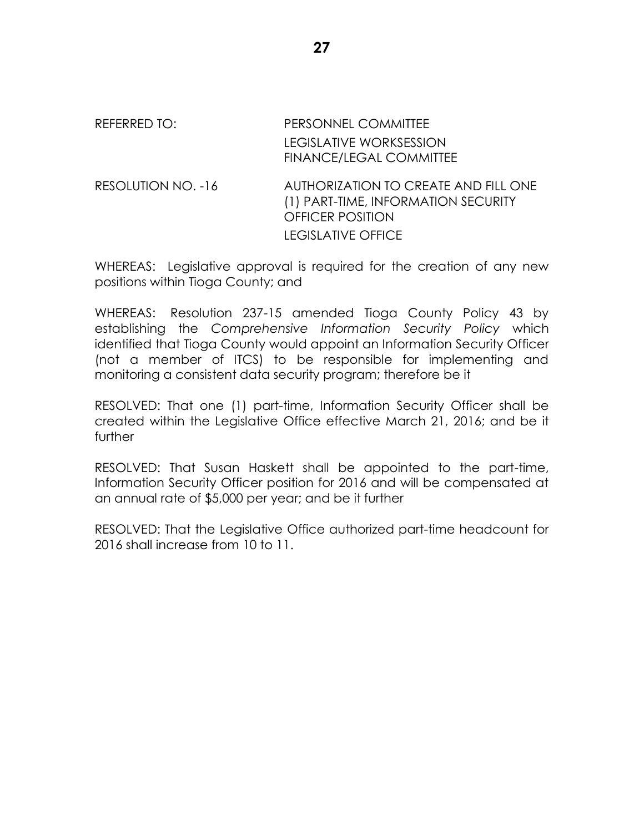## REFERRED TO: PERSONNEL COMMITTEE LEGISLATIVE WORKSESSION FINANCE/LEGAL COMMITTEE RESOLUTION NO. -16 AUTHORIZATION TO CREATE AND FILL ONE (1) PART-TIME, INFORMATION SECURITY OFFICER POSITION LEGISLATIVE OFFICE

WHEREAS: Legislative approval is required for the creation of any new positions within Tioga County; and

WHEREAS: Resolution 237-15 amended Tioga County Policy 43 by establishing the *Comprehensive Information Security Policy* which identified that Tioga County would appoint an Information Security Officer (not a member of ITCS) to be responsible for implementing and monitoring a consistent data security program; therefore be it

RESOLVED: That one (1) part-time, Information Security Officer shall be created within the Legislative Office effective March 21, 2016; and be it further

RESOLVED: That Susan Haskett shall be appointed to the part-time, Information Security Officer position for 2016 and will be compensated at an annual rate of \$5,000 per year; and be it further

RESOLVED: That the Legislative Office authorized part-time headcount for 2016 shall increase from 10 to 11.